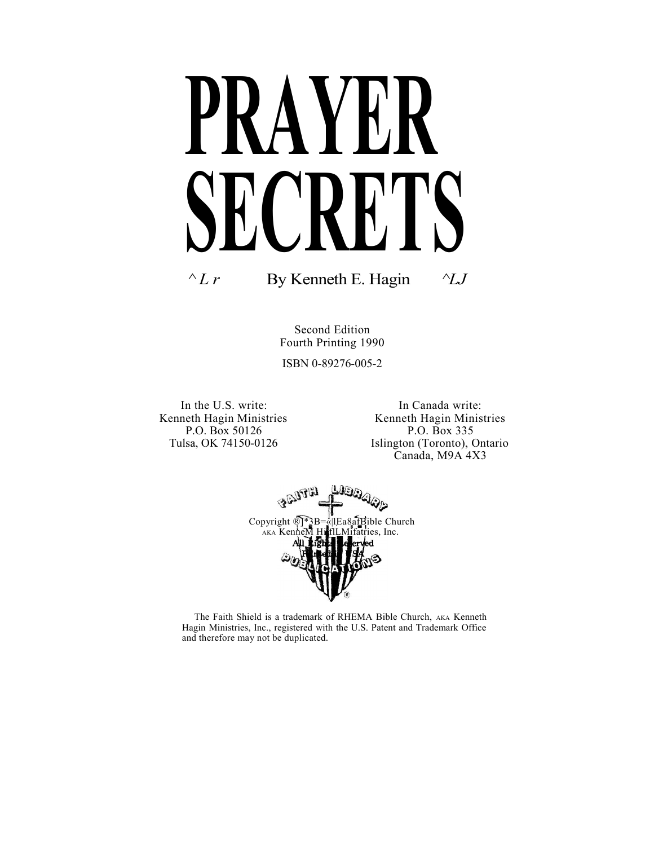

Second Edition Fourth Printing 1990

ISBN 0-89276-005-2

P.O. Box 50126

In the U.S. write: In Canada write: Kenneth Hagin Ministries<br>
P.O. Box 50126<br>
R.O. Box 335 Tulsa, OK 74150-0126 Islington (Toronto), Ontario Canada, M9A 4X3



The Faith Shield is a trademark of RHEMA Bible Church, AKA Kenneth Hagin Ministries, Inc., registered with the U.S. Patent and Trademark Office and therefore may not be duplicated.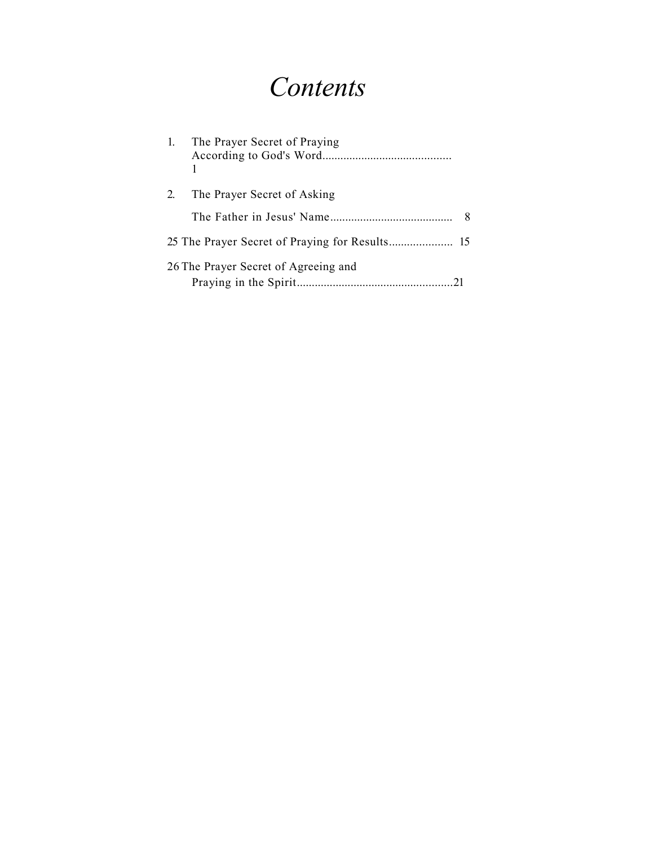# *Contents*

|                                      | 1. The Prayer Secret of Praying |
|--------------------------------------|---------------------------------|
| 2.                                   | The Prayer Secret of Asking     |
|                                      | 8                               |
|                                      |                                 |
| 26 The Prayer Secret of Agreeing and |                                 |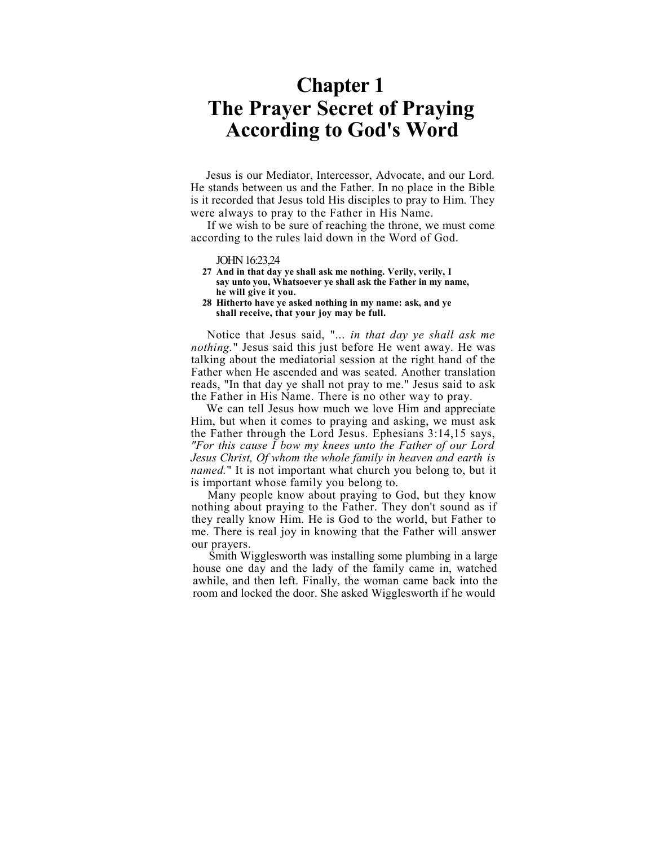# **Chapter 1 The Prayer Secret of Praying According to God's Word**

Jesus is our Mediator, Intercessor, Advocate, and our Lord. He stands between us and the Father. In no place in the Bible is it recorded that Jesus told His disciples to pray to Him. They were always to pray to the Father in His Name.

If we wish to be sure of reaching the throne, we must come according to the rules laid down in the Word of God.

JOHN 16:23,24

- **27 And in that day ye shall ask me nothing. Verily, verily, I say unto you, Whatsoever ye shall ask the Father in my name, he will give it you.**
- **28 Hitherto have ye asked nothing in my name: ask, and ye shall receive, that your joy may be full.**

Notice that Jesus said, "... *in that day ye shall ask me nothing.*" Jesus said this just before He went away. He was talking about the mediatorial session at the right hand of the Father when He ascended and was seated. Another translation reads, "In that day ye shall not pray to me." Jesus said to ask the Father in His Name. There is no other way to pray.

We can tell Jesus how much we love Him and appreciate Him, but when it comes to praying and asking, we must ask the Father through the Lord Jesus. Ephesians 3:14,15 says, *"For this cause I bow my knees unto the Father of our Lord Jesus Christ, Of whom the whole family in heaven and earth is named.*" It is not important what church you belong to, but it is important whose family you belong to.

Many people know about praying to God, but they know nothing about praying to the Father. They don't sound as if they really know Him. He is God to the world, but Father to me. There is real joy in knowing that the Father will answer our prayers.

Smith Wigglesworth was installing some plumbing in a large house one day and the lady of the family came in, watched awhile, and then left. Finally, the woman came back into the room and locked the door. She asked Wigglesworth if he would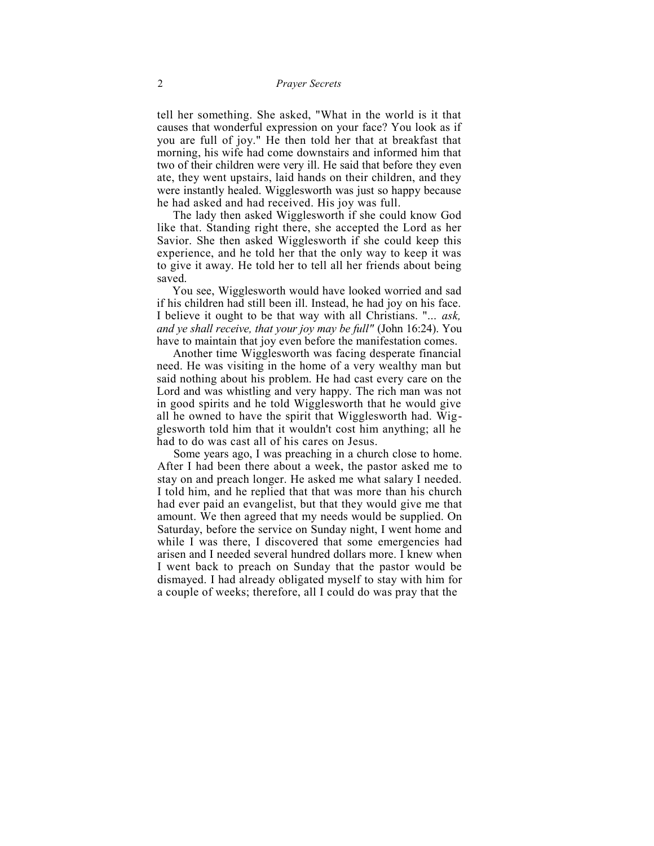tell her something. She asked, "What in the world is it that causes that wonderful expression on your face? You look as if you are full of joy." He then told her that at breakfast that morning, his wife had come downstairs and informed him that two of their children were very ill. He said that before they even ate, they went upstairs, laid hands on their children, and they were instantly healed. Wigglesworth was just so happy because he had asked and had received. His joy was full.

The lady then asked Wigglesworth if she could know God like that. Standing right there, she accepted the Lord as her Savior. She then asked Wigglesworth if she could keep this experience, and he told her that the only way to keep it was to give it away. He told her to tell all her friends about being saved.

You see, Wigglesworth would have looked worried and sad if his children had still been ill. Instead, he had joy on his face. I believe it ought to be that way with all Christians. "... *ask, and ye shall receive, that your joy may be full"* (John 16:24). You have to maintain that joy even before the manifestation comes.

Another time Wigglesworth was facing desperate financial need. He was visiting in the home of a very wealthy man but said nothing about his problem. He had cast every care on the Lord and was whistling and very happy. The rich man was not in good spirits and he told Wigglesworth that he would give all he owned to have the spirit that Wigglesworth had. Wigglesworth told him that it wouldn't cost him anything; all he had to do was cast all of his cares on Jesus.

Some years ago, I was preaching in a church close to home. After I had been there about a week, the pastor asked me to stay on and preach longer. He asked me what salary I needed. I told him, and he replied that that was more than his church had ever paid an evangelist, but that they would give me that amount. We then agreed that my needs would be supplied. On Saturday, before the service on Sunday night, I went home and while I was there, I discovered that some emergencies had arisen and I needed several hundred dollars more. I knew when I went back to preach on Sunday that the pastor would be dismayed. I had already obligated myself to stay with him for a couple of weeks; therefore, all I could do was pray that the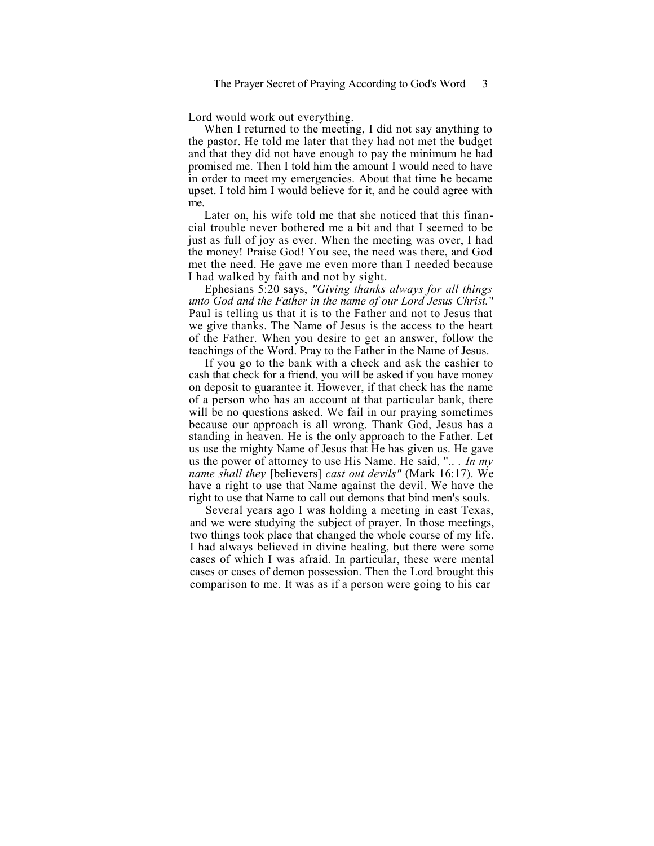Lord would work out everything.

When I returned to the meeting, I did not say anything to the pastor. He told me later that they had not met the budget and that they did not have enough to pay the minimum he had promised me. Then I told him the amount I would need to have in order to meet my emergencies. About that time he became upset. I told him I would believe for it, and he could agree with me.

Later on, his wife told me that she noticed that this financial trouble never bothered me a bit and that I seemed to be just as full of joy as ever. When the meeting was over, I had the money! Praise God! You see, the need was there, and God met the need. He gave me even more than I needed because I had walked by faith and not by sight.

Ephesians 5:20 says, *"Giving thanks always for all things unto God and the Father in the name of our Lord Jesus Christ.*" Paul is telling us that it is to the Father and not to Jesus that we give thanks. The Name of Jesus is the access to the heart of the Father. When you desire to get an answer, follow the teachings of the Word. Pray to the Father in the Name of Jesus.

If you go to the bank with a check and ask the cashier to cash that check for a friend, you will be asked if you have money on deposit to guarantee it. However, if that check has the name of a person who has an account at that particular bank, there will be no questions asked. We fail in our praying sometimes because our approach is all wrong. Thank God, Jesus has a standing in heaven. He is the only approach to the Father. Let us use the mighty Name of Jesus that He has given us. He gave us the power of attorney to use His Name. He said, ".. . *In my name shall they* [believers] *cast out devils"* (Mark 16:17). We have a right to use that Name against the devil. We have the right to use that Name to call out demons that bind men's souls.

Several years ago I was holding a meeting in east Texas, and we were studying the subject of prayer. In those meetings, two things took place that changed the whole course of my life. I had always believed in divine healing, but there were some cases of which I was afraid. In particular, these were mental cases or cases of demon possession. Then the Lord brought this comparison to me. It was as if a person were going to his car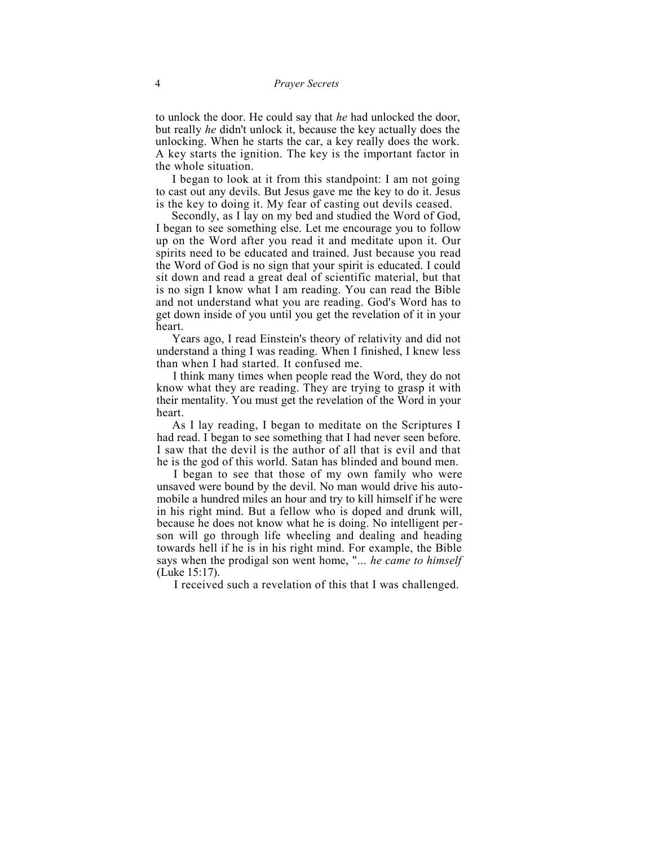to unlock the door. He could say that *he* had unlocked the door, but really *he* didn't unlock it, because the key actually does the unlocking. When he starts the car, a key really does the work. A key starts the ignition. The key is the important factor in the whole situation.

I began to look at it from this standpoint: I am not going to cast out any devils. But Jesus gave me the key to do it. Jesus is the key to doing it. My fear of casting out devils ceased.

Secondly, as I lay on my bed and studied the Word of God, I began to see something else. Let me encourage you to follow up on the Word after you read it and meditate upon it. Our spirits need to be educated and trained. Just because you read the Word of God is no sign that your spirit is educated. I could sit down and read a great deal of scientific material, but that is no sign I know what I am reading. You can read the Bible and not understand what you are reading. God's Word has to get down inside of you until you get the revelation of it in your heart.

Years ago, I read Einstein's theory of relativity and did not understand a thing I was reading. When I finished, I knew less than when I had started. It confused me.

I think many times when people read the Word, they do not know what they are reading. They are trying to grasp it with their mentality. You must get the revelation of the Word in your heart.

As I lay reading, I began to meditate on the Scriptures I had read. I began to see something that I had never seen before. I saw that the devil is the author of all that is evil and that he is the god of this world. Satan has blinded and bound men.

I began to see that those of my own family who were unsaved were bound by the devil. No man would drive his automobile a hundred miles an hour and try to kill himself if he were in his right mind. But a fellow who is doped and drunk will, because he does not know what he is doing. No intelligent person will go through life wheeling and dealing and heading towards hell if he is in his right mind. For example, the Bible says when the prodigal son went home, "... *he came to himself* (Luke 15:17).

I received such a revelation of this that I was challenged.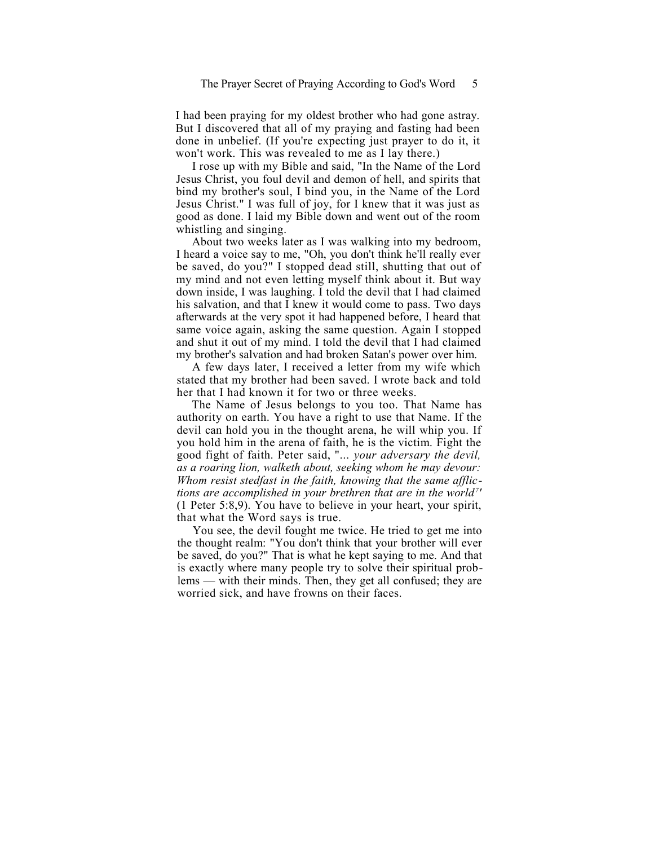I had been praying for my oldest brother who had gone astray. But I discovered that all of my praying and fasting had been done in unbelief. (If you're expecting just prayer to do it, it won't work. This was revealed to me as I lay there.)

I rose up with my Bible and said, "In the Name of the Lord Jesus Christ, you foul devil and demon of hell, and spirits that bind my brother's soul, I bind you, in the Name of the Lord Jesus Christ." I was full of joy, for I knew that it was just as good as done. I laid my Bible down and went out of the room whistling and singing.

About two weeks later as I was walking into my bedroom, I heard a voice say to me, "Oh, you don't think he'll really ever be saved, do you?" I stopped dead still, shutting that out of my mind and not even letting myself think about it. But way down inside, I was laughing. I told the devil that I had claimed his salvation, and that I knew it would come to pass. Two days afterwards at the very spot it had happened before, I heard that same voice again, asking the same question. Again I stopped and shut it out of my mind. I told the devil that I had claimed my brother's salvation and had broken Satan's power over him.

A few days later, I received a letter from my wife which stated that my brother had been saved. I wrote back and told her that I had known it for two or three weeks.

The Name of Jesus belongs to you too. That Name has authority on earth. You have a right to use that Name. If the devil can hold you in the thought arena, he will whip you. If you hold him in the arena of faith, he is the victim. Fight the good fight of faith. Peter said, "... *your adversary the devil, as a roaring lion, walketh about, seeking whom he may devour: Whom resist stedfast in the faith, knowing that the same afflictions are accomplished in your brethren that are in the world<sup>7</sup> '* (1 Peter 5:8,9). You have to believe in your heart, your spirit, that what the Word says is true.

You see, the devil fought me twice. He tried to get me into the thought realm: "You don't think that your brother will ever be saved, do you?" That is what he kept saying to me. And that is exactly where many people try to solve their spiritual problems — with their minds. Then, they get all confused; they are worried sick, and have frowns on their faces.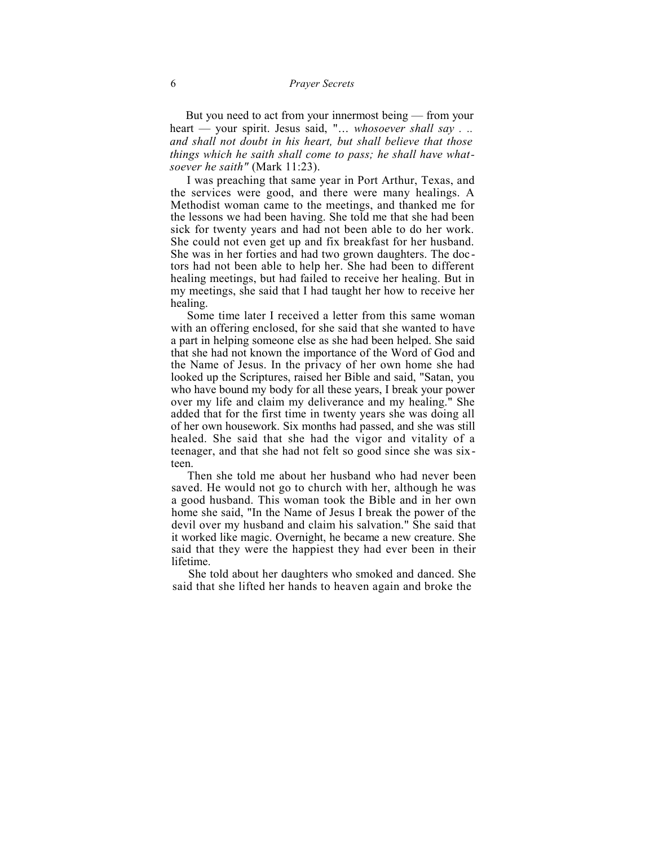But you need to act from your innermost being — from your heart — your spirit. Jesus said, "... *whosoever shall say . .. and shall not doubt in his heart, but shall believe that those things which he saith shall come to pass; he shall have whatsoever he saith"* (Mark 11:23).

I was preaching that same year in Port Arthur, Texas, and the services were good, and there were many healings. A Methodist woman came to the meetings, and thanked me for the lessons we had been having. She told me that she had been sick for twenty years and had not been able to do her work. She could not even get up and fix breakfast for her husband. She was in her forties and had two grown daughters. The doc tors had not been able to help her. She had been to different healing meetings, but had failed to receive her healing. But in my meetings, she said that I had taught her how to receive her healing.

Some time later I received a letter from this same woman with an offering enclosed, for she said that she wanted to have a part in helping someone else as she had been helped. She said that she had not known the importance of the Word of God and the Name of Jesus. In the privacy of her own home she had looked up the Scriptures, raised her Bible and said, "Satan, you who have bound my body for all these years, I break your power over my life and claim my deliverance and my healing." She added that for the first time in twenty years she was doing all of her own housework. Six months had passed, and she was still healed. She said that she had the vigor and vitality of a teenager, and that she had not felt so good since she was sixteen.

Then she told me about her husband who had never been saved. He would not go to church with her, although he was a good husband. This woman took the Bible and in her own home she said, "In the Name of Jesus I break the power of the devil over my husband and claim his salvation." She said that it worked like magic. Overnight, he became a new creature. She said that they were the happiest they had ever been in their lifetime.

She told about her daughters who smoked and danced. She said that she lifted her hands to heaven again and broke the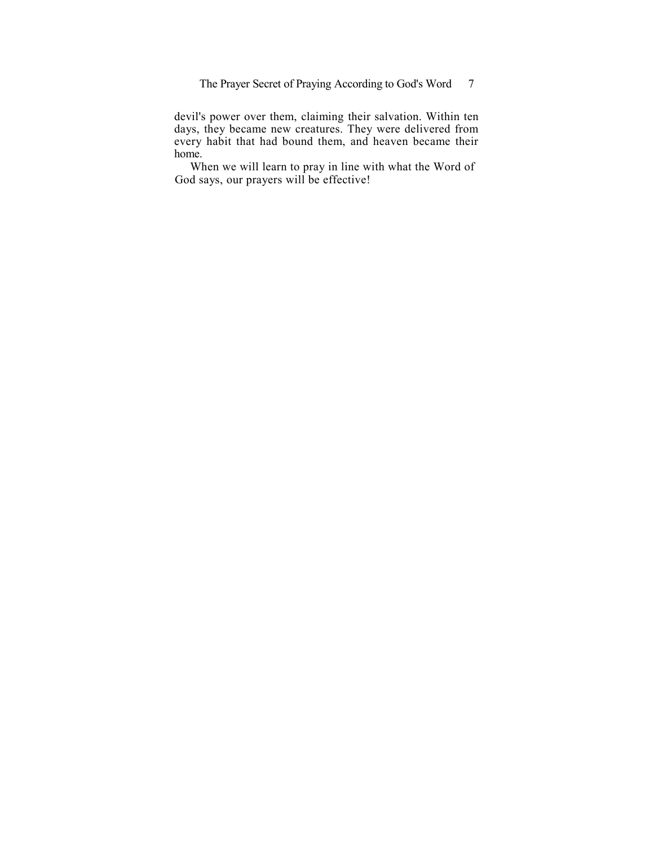The Prayer Secret of Praying According to God's Word 7

devil's power over them, claiming their salvation. Within ten days, they became new creatures. They were delivered from every habit that had bound them, and heaven became their home.

When we will learn to pray in line with what the Word of God says, our prayers will be effective!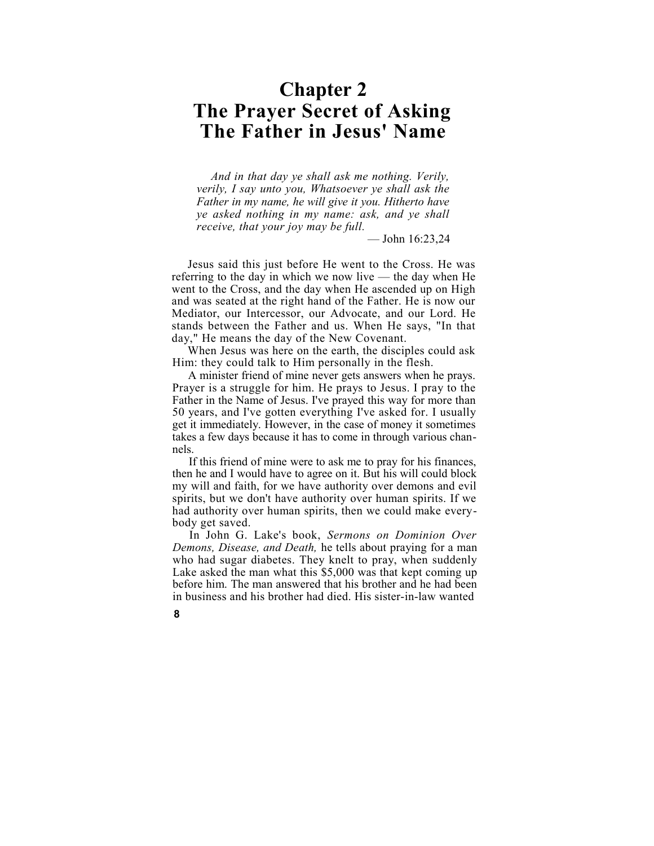### **Chapter 2 The Prayer Secret of Asking The Father in Jesus' Name**

*And in that day ye shall ask me nothing. Verily, verily, I say unto you, Whatsoever ye shall ask the Father in my name, he will give it you. Hitherto have ye asked nothing in my name: ask, and ye shall receive, that your joy may be full.*

— John 16:23,24

Jesus said this just before He went to the Cross. He was referring to the day in which we now live — the day when He went to the Cross, and the day when He ascended up on High and was seated at the right hand of the Father. He is now our Mediator, our Intercessor, our Advocate, and our Lord. He stands between the Father and us. When He says, "In that day," He means the day of the New Covenant.

When Jesus was here on the earth, the disciples could ask Him: they could talk to Him personally in the flesh.

A minister friend of mine never gets answers when he prays. Prayer is a struggle for him. He prays to Jesus. I pray to the Father in the Name of Jesus. I've prayed this way for more than 50 years, and I've gotten everything I've asked for. I usually get it immediately. However, in the case of money it sometimes takes a few days because it has to come in through various channels.

If this friend of mine were to ask me to pray for his finances, then he and I would have to agree on it. But his will could block my will and faith, for we have authority over demons and evil spirits, but we don't have authority over human spirits. If we had authority over human spirits, then we could make everybody get saved.

In John G. Lake's book, *Sermons on Dominion Over Demons, Disease, and Death,* he tells about praying for a man who had sugar diabetes. They knelt to pray, when suddenly Lake asked the man what this \$5,000 was that kept coming up before him. The man answered that his brother and he had been in business and his brother had died. His sister-in-law wanted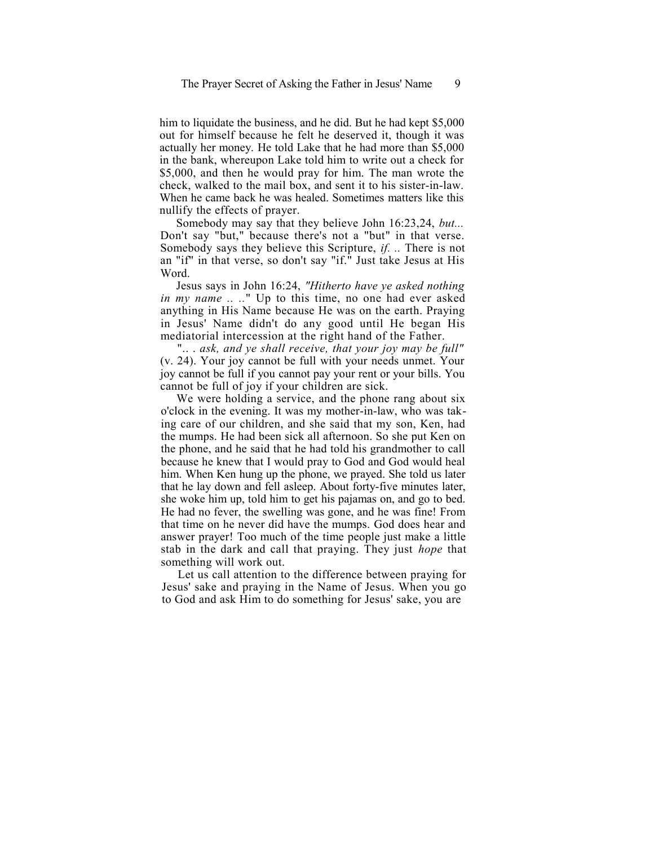him to liquidate the business, and he did. But he had kept \$5,000 out for himself because he felt he deserved it, though it was actually her money. He told Lake that he had more than \$5,000 in the bank, whereupon Lake told him to write out a check for \$5,000, and then he would pray for him. The man wrote the check, walked to the mail box, and sent it to his sister-in-law. When he came back he was healed. Sometimes matters like this nullify the effects of prayer.

Somebody may say that they believe John 16:23,24, *but...* Don't say "but," because there's not a "but" in that verse. Somebody says they believe this Scripture, *if. ..* There is not an "if" in that verse, so don't say "if." Just take Jesus at His Word.

Jesus says in John 16:24, *"Hitherto have ye asked nothing in my name .. ..*" Up to this time, no one had ever asked anything in His Name because He was on the earth. Praying in Jesus' Name didn't do any good until He began His mediatorial intercession at the right hand of the Father.

".. . *ask, and ye shall receive, that your joy may be full"* (v. 24). Your joy cannot be full with your needs unmet. Your joy cannot be full if you cannot pay your rent or your bills. You cannot be full of joy if your children are sick.

We were holding a service, and the phone rang about six o'clock in the evening. It was my mother-in-law, who was taking care of our children, and she said that my son, Ken, had the mumps. He had been sick all afternoon. So she put Ken on the phone, and he said that he had told his grandmother to call because he knew that I would pray to God and God would heal him. When Ken hung up the phone, we prayed. She told us later that he lay down and fell asleep. About forty-five minutes later, she woke him up, told him to get his pajamas on, and go to bed. He had no fever, the swelling was gone, and he was fine! From that time on he never did have the mumps. God does hear and answer prayer! Too much of the time people just make a little stab in the dark and call that praying. They just *hope* that something will work out.

Let us call attention to the difference between praying for Jesus' sake and praying in the Name of Jesus. When you go to God and ask Him to do something for Jesus' sake, you are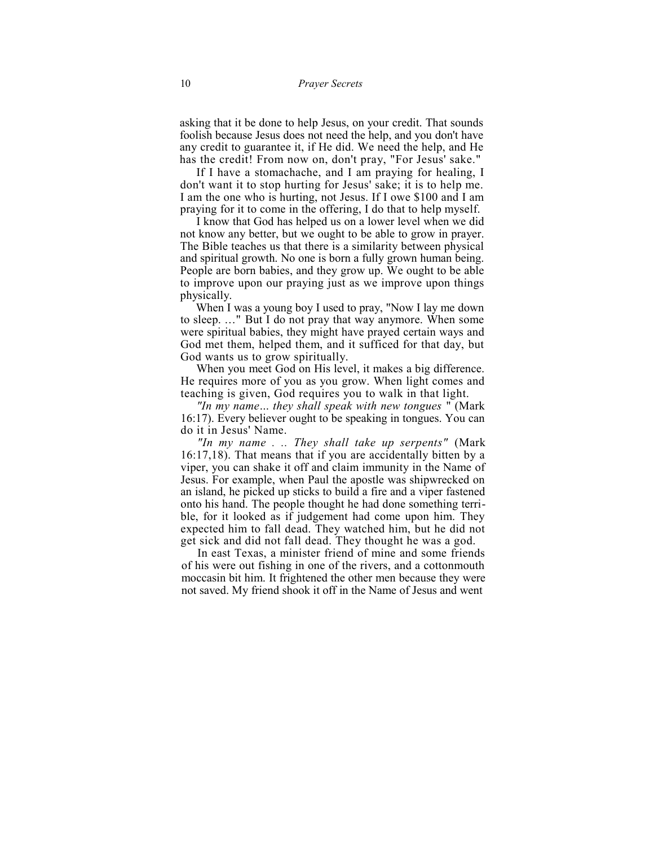asking that it be done to help Jesus, on your credit. That sounds foolish because Jesus does not need the help, and you don't have any credit to guarantee it, if He did. We need the help, and He has the credit! From now on, don't pray, "For Jesus' sake."

If I have a stomachache, and I am praying for healing, I don't want it to stop hurting for Jesus' sake; it is to help me. I am the one who is hurting, not Jesus. If I owe \$100 and I am praying for it to come in the offering, I do that to help myself.

I know that God has helped us on a lower level when we did not know any better, but we ought to be able to grow in prayer. The Bible teaches us that there is a similarity between physical and spiritual growth. No one is born a fully grown human being. People are born babies, and they grow up. We ought to be able to improve upon our praying just as we improve upon things physically.

When I was a young boy I used to pray, "Now I lay me down to sleep. ..." But I do not pray that way anymore. When some were spiritual babies, they might have prayed certain ways and God met them, helped them, and it sufficed for that day, but God wants us to grow spiritually.

When you meet God on His level, it makes a big difference. He requires more of you as you grow. When light comes and teaching is given, God requires you to walk in that light.

*"In my name*... *they shall speak with new tongues* " (Mark 16:17). Every believer ought to be speaking in tongues. You can do it in Jesus' Name.

*"In my name . .. They shall take up serpents"* (Mark 16:17,18). That means that if you are accidentally bitten by a viper, you can shake it off and claim immunity in the Name of Jesus. For example, when Paul the apostle was shipwrecked on an island, he picked up sticks to build a fire and a viper fastened onto his hand. The people thought he had done something terrible, for it looked as if judgement had come upon him. They expected him to fall dead. They watched him, but he did not get sick and did not fall dead. They thought he was a god.

In east Texas, a minister friend of mine and some friends of his were out fishing in one of the rivers, and a cottonmouth moccasin bit him. It frightened the other men because they were not saved. My friend shook it off in the Name of Jesus and went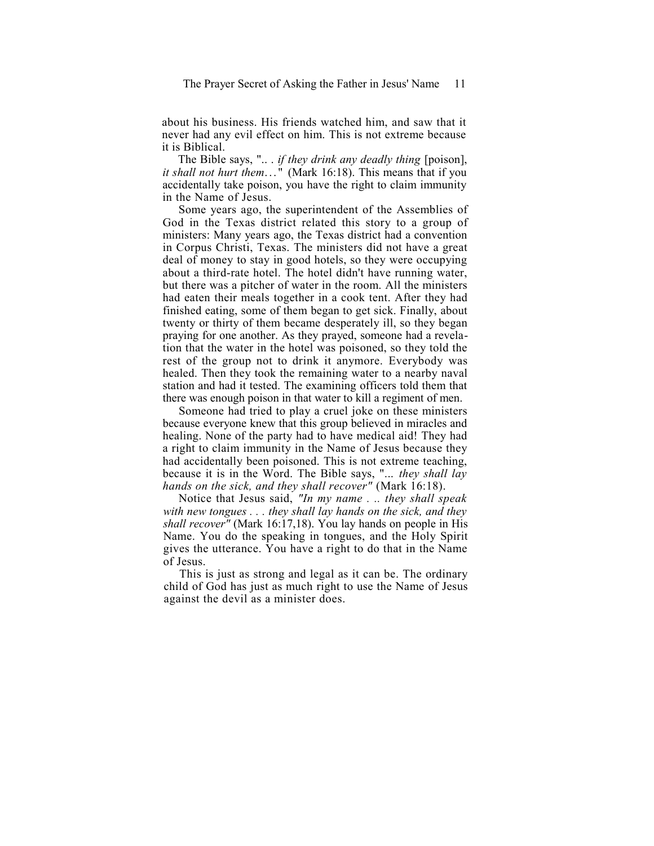about his business. His friends watched him, and saw that it never had any evil effect on him. This is not extreme because it is Biblical.

The Bible says, ".. . *if they drink any deadly thing* [poison], *it shall not hurt them...*" (Mark 16:18). This means that if you accidentally take poison, you have the right to claim immunity in the Name of Jesus.

Some years ago, the superintendent of the Assemblies of God in the Texas district related this story to a group of ministers: Many years ago, the Texas district had a convention in Corpus Christi, Texas. The ministers did not have a great deal of money to stay in good hotels, so they were occupying about a third-rate hotel. The hotel didn't have running water, but there was a pitcher of water in the room. All the ministers had eaten their meals together in a cook tent. After they had finished eating, some of them began to get sick. Finally, about twenty or thirty of them became desperately ill, so they began praying for one another. As they prayed, someone had a revelation that the water in the hotel was poisoned, so they told the rest of the group not to drink it anymore. Everybody was healed. Then they took the remaining water to a nearby naval station and had it tested. The examining officers told them that there was enough poison in that water to kill a regiment of men.

Someone had tried to play a cruel joke on these ministers because everyone knew that this group believed in miracles and healing. None of the party had to have medical aid! They had a right to claim immunity in the Name of Jesus because they had accidentally been poisoned. This is not extreme teaching, because it is in the Word. The Bible says, "... *they shall lay hands on the sick, and they shall recover"* (Mark 16:18).

Notice that Jesus said, *"In my name . .. they shall speak with new tongues . . . they shall lay hands on the sick, and they shall recover"* (Mark 16:17,18). You lay hands on people in His Name. You do the speaking in tongues, and the Holy Spirit gives the utterance. You have a right to do that in the Name of Jesus.

This is just as strong and legal as it can be. The ordinary child of God has just as much right to use the Name of Jesus against the devil as a minister does.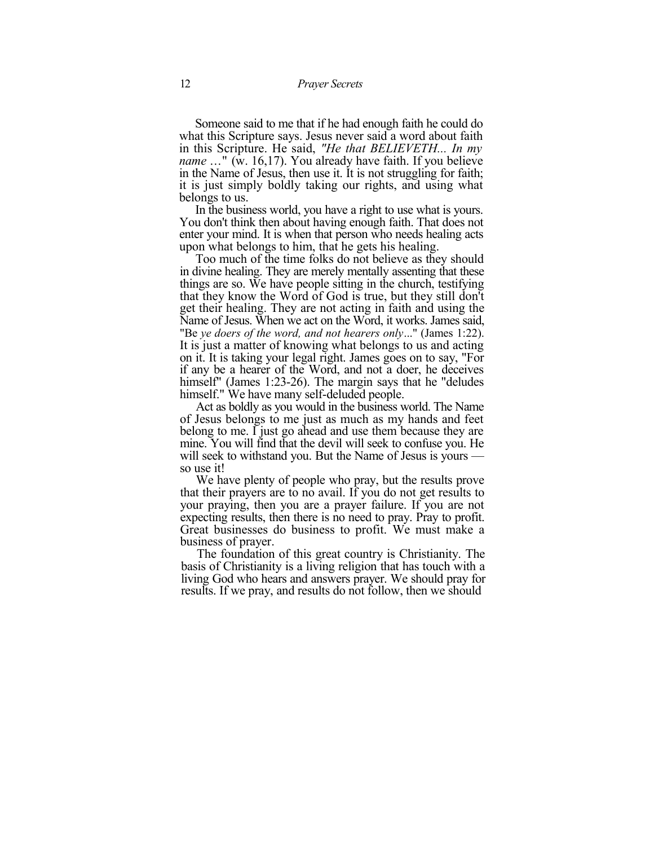Someone said to me that if he had enough faith he could do what this Scripture says. Jesus never said a word about faith in this Scripture. He said, *"He that BELIEVETH... In my name* ..." (w. 16,17). You already have faith. If you believe in the Name of Jesus, then use it. It is not struggling for faith; it is just simply boldly taking our rights, and using what belongs to us.

In the business world, you have a right to use what is yours. You don't think then about having enough faith. That does not enter your mind. It is when that person who needs healing acts upon what belongs to him, that he gets his healing.

Too much of the time folks do not believe as they should in divine healing. They are merely mentally assenting that these things are so. We have people sitting in the church, testifying that they know the Word of God is true, but they still don't get their healing. They are not acting in faith and using the Name of Jesus. When we act on the Word, it works. James said, "Be *ye doers of the word, and not hearers only*..." (James 1:22). It is just a matter of knowing what belongs to us and acting on it. It is taking your legal right. James goes on to say, "For if any be a hearer of the Word, and not a doer, he deceives himself" (James 1:23-26). The margin says that he "deludes" himself." We have many self-deluded people.

Act as boldly as you would in the business world. The Name of Jesus belongs to me just as much as my hands and feet belong to me. I just go ahead and use them because they are mine. You will find that the devil will seek to confuse you. He will seek to withstand you. But the Name of Jesus is yours so use it!

We have plenty of people who pray, but the results prove that their prayers are to no avail. If you do not get results to your praying, then you are a prayer failure. If you are not expecting results, then there is no need to pray. Pray to profit. Great businesses do business to profit. We must make a business of prayer.

The foundation of this great country is Christianity. The basis of Christianity is a living religion that has touch with a living God who hears and answers prayer. We should pray for results. If we pray, and results do not follow, then we should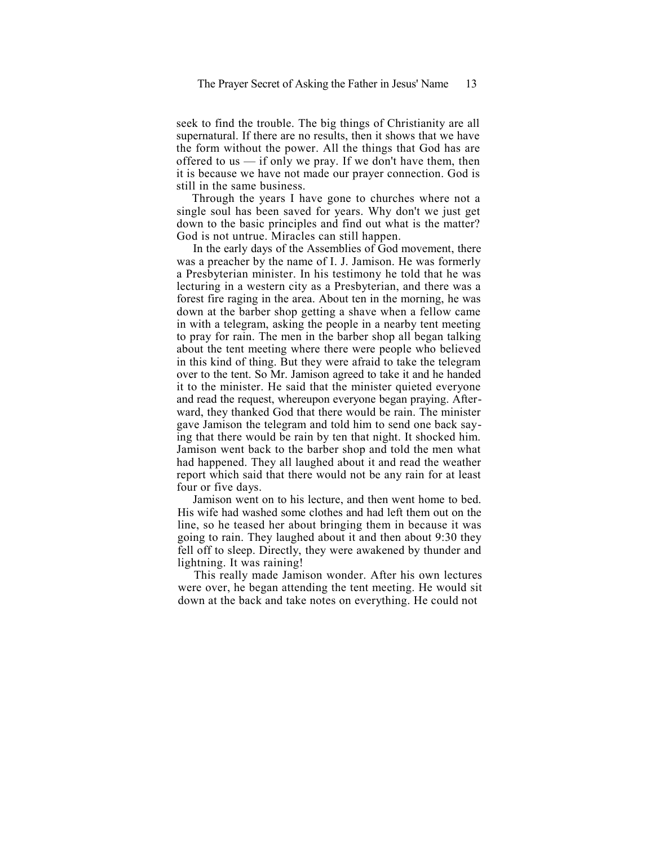seek to find the trouble. The big things of Christianity are all supernatural. If there are no results, then it shows that we have the form without the power. All the things that God has are offered to us  $-$  if only we pray. If we don't have them, then it is because we have not made our prayer connection. God is still in the same business.

Through the years I have gone to churches where not a single soul has been saved for years. Why don't we just get down to the basic principles and find out what is the matter? God is not untrue. Miracles can still happen.

In the early days of the Assemblies of God movement, there was a preacher by the name of I. J. Jamison. He was formerly a Presbyterian minister. In his testimony he told that he was lecturing in a western city as a Presbyterian, and there was a forest fire raging in the area. About ten in the morning, he was down at the barber shop getting a shave when a fellow came in with a telegram, asking the people in a nearby tent meeting to pray for rain. The men in the barber shop all began talking about the tent meeting where there were people who believed in this kind of thing. But they were afraid to take the telegram over to the tent. So Mr. Jamison agreed to take it and he handed it to the minister. He said that the minister quieted everyone and read the request, whereupon everyone began praying. Afterward, they thanked God that there would be rain. The minister gave Jamison the telegram and told him to send one back saying that there would be rain by ten that night. It shocked him. Jamison went back to the barber shop and told the men what had happened. They all laughed about it and read the weather report which said that there would not be any rain for at least four or five days.

Jamison went on to his lecture, and then went home to bed. His wife had washed some clothes and had left them out on the line, so he teased her about bringing them in because it was going to rain. They laughed about it and then about 9:30 they fell off to sleep. Directly, they were awakened by thunder and lightning. It was raining!

This really made Jamison wonder. After his own lectures were over, he began attending the tent meeting. He would sit down at the back and take notes on everything. He could not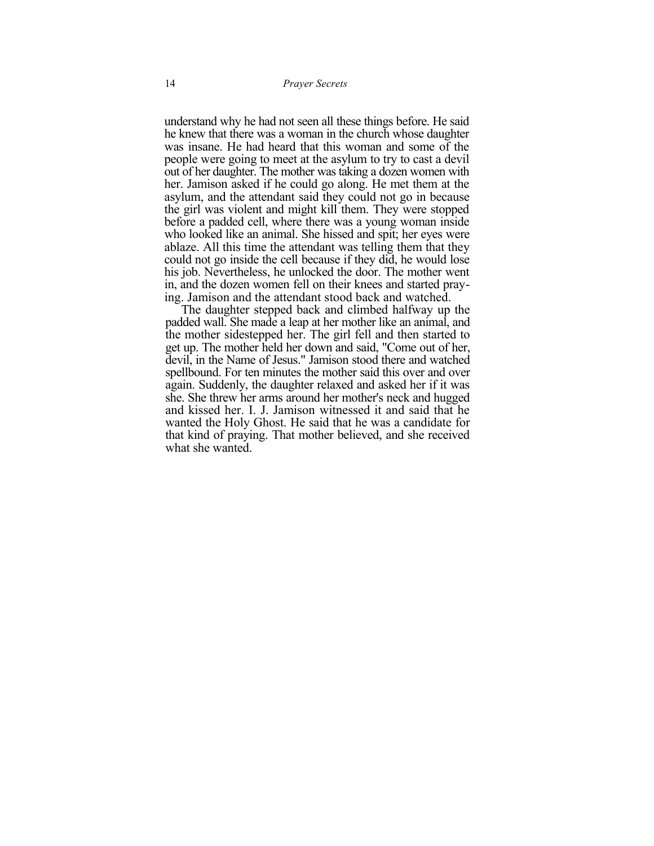understand why he had not seen all these things before. He said he knew that there was a woman in the church whose daughter was insane. He had heard that this woman and some of the people were going to meet at the asylum to try to cast a devil out of her daughter. The mother was taking a dozen women with her. Jamison asked if he could go along. He met them at the asylum, and the attendant said they could not go in because the girl was violent and might kill them. They were stopped before a padded cell, where there was a young woman inside who looked like an animal. She hissed and spit; her eyes were ablaze. All this time the attendant was telling them that they could not go inside the cell because if they did, he would lose his job. Nevertheless, he unlocked the door. The mother went in, and the dozen women fell on their knees and started praying. Jamison and the attendant stood back and watched.

The daughter stepped back and climbed halfway up the padded wall. She made a leap at her mother like an animal, and the mother sidestepped her. The girl fell and then started to get up. The mother held her down and said, "Come out of her, devil, in the Name of Jesus." Jamison stood there and watched spellbound. For ten minutes the mother said this over and over again. Suddenly, the daughter relaxed and asked her if it was she. She threw her arms around her mother's neck and hugged and kissed her. I. J. Jamison witnessed it and said that he wanted the Holy Ghost. He said that he was a candidate for that kind of praying. That mother believed, and she received what she wanted.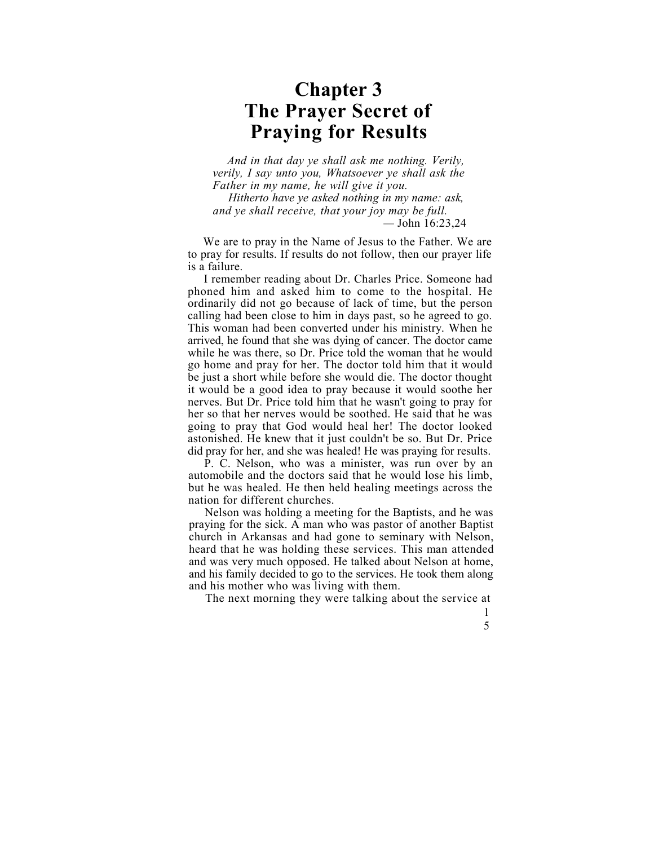### **Chapter 3 The Prayer Secret of Praying for Results**

*And in that day ye shall ask me nothing. Verily, verily, I say unto you, Whatsoever ye shall ask the Father in my name, he will give it you.*

*Hitherto have ye asked nothing in my name: ask, and ye shall receive, that your joy may be full. —* John 16:23,24

We are to pray in the Name of Jesus to the Father. We are to pray for results. If results do not follow, then our prayer life is a failure.

I remember reading about Dr. Charles Price. Someone had phoned him and asked him to come to the hospital. He ordinarily did not go because of lack of time, but the person calling had been close to him in days past, so he agreed to go. This woman had been converted under his ministry. When he arrived, he found that she was dying of cancer. The doctor came while he was there, so Dr. Price told the woman that he would go home and pray for her. The doctor told him that it would be just a short while before she would die. The doctor thought it would be a good idea to pray because it would soothe her nerves. But Dr. Price told him that he wasn't going to pray for her so that her nerves would be soothed. He said that he was going to pray that God would heal her! The doctor looked astonished. He knew that it just couldn't be so. But Dr. Price did pray for her, and she was healed! He was praying for results.

P. C. Nelson, who was a minister, was run over by an automobile and the doctors said that he would lose his limb, but he was healed. He then held healing meetings across the nation for different churches.

Nelson was holding a meeting for the Baptists, and he was praying for the sick. A man who was pastor of another Baptist church in Arkansas and had gone to seminary with Nelson, heard that he was holding these services. This man attended and was very much opposed. He talked about Nelson at home, and his family decided to go to the services. He took them along and his mother who was living with them.

The next morning they were talking about the service at

1 5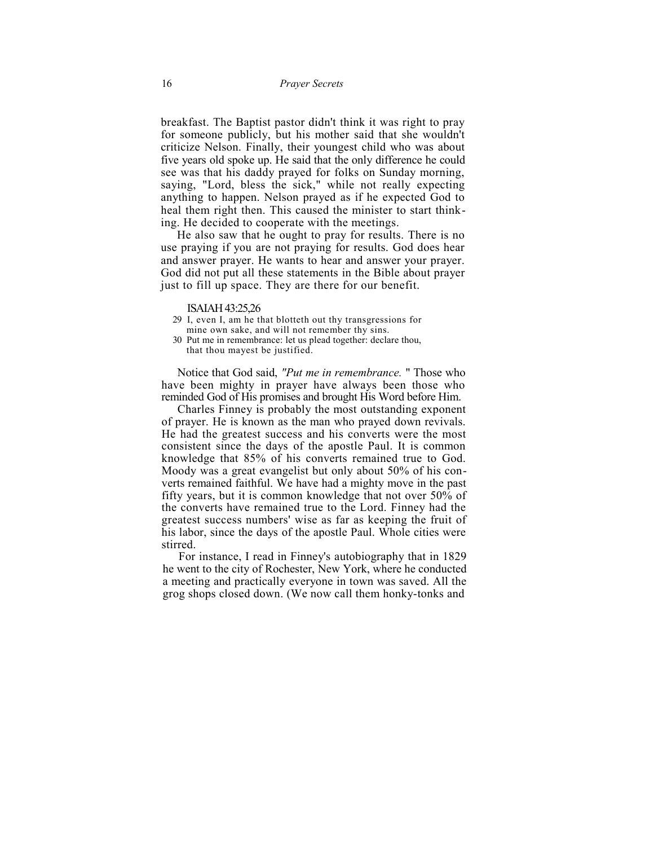breakfast. The Baptist pastor didn't think it was right to pray for someone publicly, but his mother said that she wouldn't criticize Nelson. Finally, their youngest child who was about five years old spoke up. He said that the only difference he could see was that his daddy prayed for folks on Sunday morning, saying, "Lord, bless the sick," while not really expecting anything to happen. Nelson prayed as if he expected God to heal them right then. This caused the minister to start thinking. He decided to cooperate with the meetings.

He also saw that he ought to pray for results. There is no use praying if you are not praying for results. God does hear and answer prayer. He wants to hear and answer your prayer. God did not put all these statements in the Bible about prayer just to fill up space. They are there for our benefit.

#### ISAIAH 43:25,26

- 29 I, even I, am he that blotteth out thy transgressions for mine own sake, and will not remember thy sins.
- 30 Put me in remembrance: let us plead together: declare thou, that thou mayest be justified.

Notice that God said, *"Put me in remembrance.* " Those who have been mighty in prayer have always been those who reminded God of His promises and brought His Word before Him.

Charles Finney is probably the most outstanding exponent of prayer. He is known as the man who prayed down revivals. He had the greatest success and his converts were the most consistent since the days of the apostle Paul. It is common knowledge that 85% of his converts remained true to God. Moody was a great evangelist but only about 50% of his converts remained faithful. We have had a mighty move in the past fifty years, but it is common knowledge that not over 50% of the converts have remained true to the Lord. Finney had the greatest success numbers' wise as far as keeping the fruit of his labor, since the days of the apostle Paul. Whole cities were stirred.

For instance, I read in Finney's autobiography that in 1829 he went to the city of Rochester, New York, where he conducted a meeting and practically everyone in town was saved. All the grog shops closed down. (We now call them honky-tonks and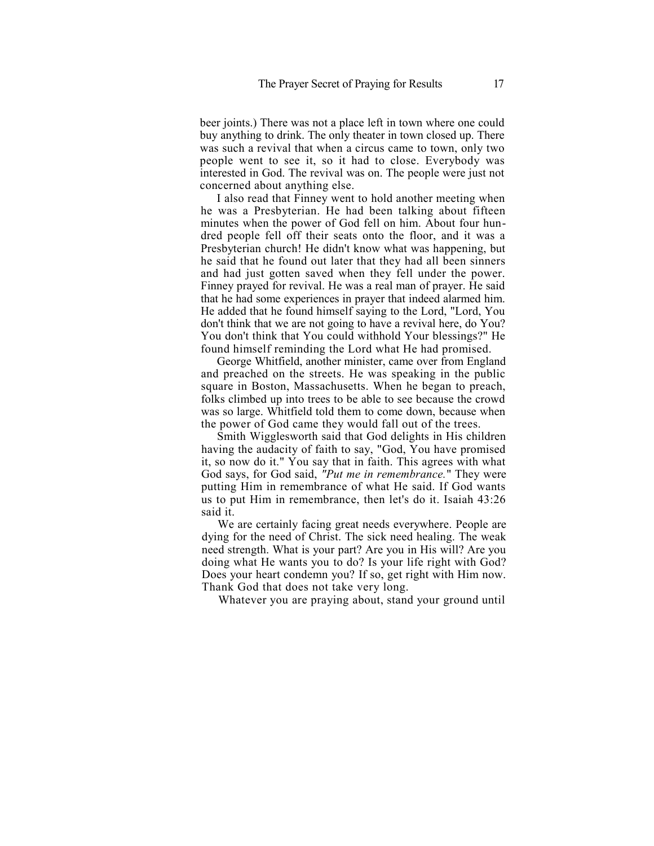beer joints.) There was not a place left in town where one could buy anything to drink. The only theater in town closed up. There was such a revival that when a circus came to town, only two people went to see it, so it had to close. Everybody was interested in God. The revival was on. The people were just not concerned about anything else.

I also read that Finney went to hold another meeting when he was a Presbyterian. He had been talking about fifteen minutes when the power of God fell on him. About four hundred people fell off their seats onto the floor, and it was a Presbyterian church! He didn't know what was happening, but he said that he found out later that they had all been sinners and had just gotten saved when they fell under the power. Finney prayed for revival. He was a real man of prayer. He said that he had some experiences in prayer that indeed alarmed him. He added that he found himself saying to the Lord, "Lord, You don't think that we are not going to have a revival here, do You? You don't think that You could withhold Your blessings?" He found himself reminding the Lord what He had promised.

George Whitfield, another minister, came over from England and preached on the streets. He was speaking in the public square in Boston, Massachusetts. When he began to preach, folks climbed up into trees to be able to see because the crowd was so large. Whitfield told them to come down, because when the power of God came they would fall out of the trees.

Smith Wigglesworth said that God delights in His children having the audacity of faith to say, "God, You have promised it, so now do it." You say that in faith. This agrees with what God says, for God said, *"Put me in remembrance.*" They were putting Him in remembrance of what He said. If God wants us to put Him in remembrance, then let's do it. Isaiah 43:26 said it.

We are certainly facing great needs everywhere. People are dying for the need of Christ. The sick need healing. The weak need strength. What is your part? Are you in His will? Are you doing what He wants you to do? Is your life right with God? Does your heart condemn you? If so, get right with Him now. Thank God that does not take very long.

Whatever you are praying about, stand your ground until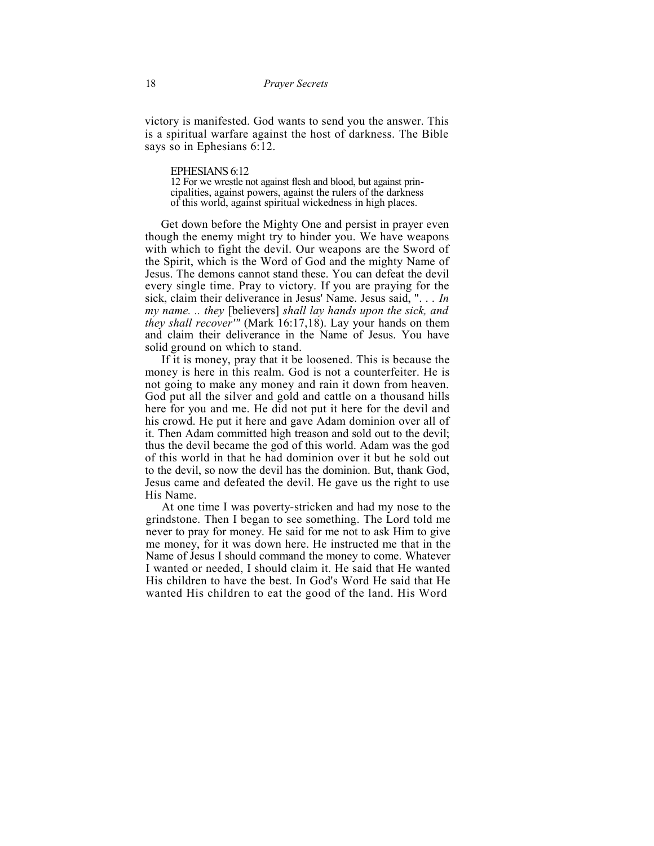18 *Prayer Secrets*

victory is manifested. God wants to send you the answer. This is a spiritual warfare against the host of darkness. The Bible says so in Ephesians 6:12.

EPHESIANS 6:12

12 For we wrestle not against flesh and blood, but against principalities, against powers, against the rulers of the darkness of this world, against spiritual wickedness in high places.

Get down before the Mighty One and persist in prayer even though the enemy might try to hinder you. We have weapons with which to fight the devil. Our weapons are the Sword of the Spirit, which is the Word of God and the mighty Name of Jesus. The demons cannot stand these. You can defeat the devil every single time. Pray to victory. If you are praying for the sick, claim their deliverance in Jesus' Name. Jesus said, ". . . *In my name. .. they* [believers] *shall lay hands upon the sick, and they shall recover'"* (Mark 16:17,18). Lay your hands on them and claim their deliverance in the Name of Jesus. You have solid ground on which to stand.

If it is money, pray that it be loosened. This is because the money is here in this realm. God is not a counterfeiter. He is not going to make any money and rain it down from heaven. God put all the silver and gold and cattle on a thousand hills here for you and me. He did not put it here for the devil and his crowd. He put it here and gave Adam dominion over all of it. Then Adam committed high treason and sold out to the devil; thus the devil became the god of this world. Adam was the god of this world in that he had dominion over it but he sold out to the devil, so now the devil has the dominion. But, thank God, Jesus came and defeated the devil. He gave us the right to use His Name.

At one time I was poverty-stricken and had my nose to the grindstone. Then I began to see something. The Lord told me never to pray for money. He said for me not to ask Him to give me money, for it was down here. He instructed me that in the Name of Jesus I should command the money to come. Whatever I wanted or needed, I should claim it. He said that He wanted His children to have the best. In God's Word He said that He wanted His children to eat the good of the land. His Word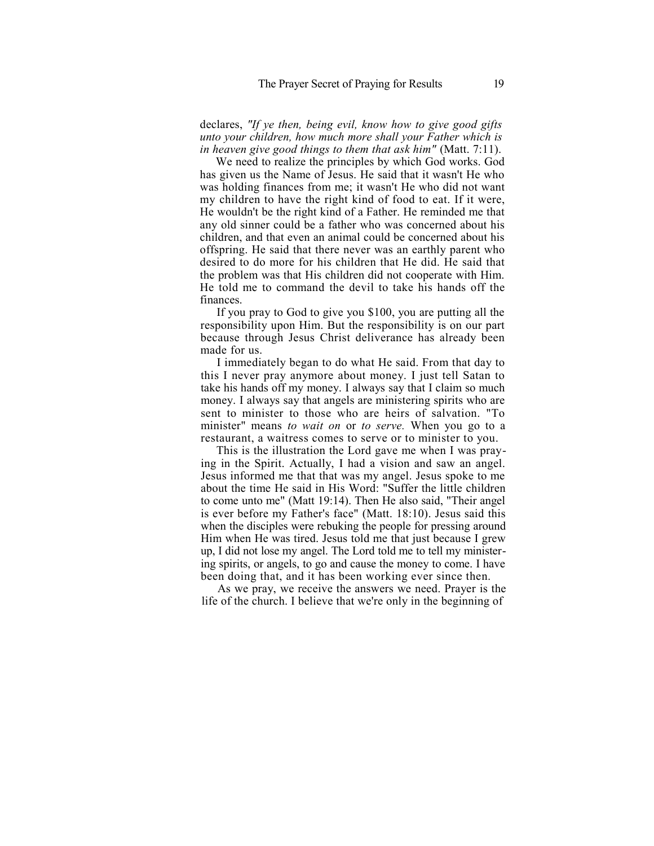declares, *"If ye then, being evil, know how to give good gifts unto your children, how much more shall your Father which is in heaven give good things to them that ask him"* (Matt. 7:11).

We need to realize the principles by which God works. God has given us the Name of Jesus. He said that it wasn't He who was holding finances from me; it wasn't He who did not want my children to have the right kind of food to eat. If it were, He wouldn't be the right kind of a Father. He reminded me that any old sinner could be a father who was concerned about his children, and that even an animal could be concerned about his offspring. He said that there never was an earthly parent who desired to do more for his children that He did. He said that the problem was that His children did not cooperate with Him. He told me to command the devil to take his hands off the finances.

If you pray to God to give you \$100, you are putting all the responsibility upon Him. But the responsibility is on our part because through Jesus Christ deliverance has already been made for us.

I immediately began to do what He said. From that day to this I never pray anymore about money. I just tell Satan to take his hands off my money. I always say that I claim so much money. I always say that angels are ministering spirits who are sent to minister to those who are heirs of salvation. "To minister" means *to wait on* or *to serve.* When you go to a restaurant, a waitress comes to serve or to minister to you.

This is the illustration the Lord gave me when I was praying in the Spirit. Actually, I had a vision and saw an angel. Jesus informed me that that was my angel. Jesus spoke to me about the time He said in His Word: "Suffer the little children to come unto me" (Matt 19:14). Then He also said, "Their angel is ever before my Father's face" (Matt. 18:10). Jesus said this when the disciples were rebuking the people for pressing around Him when He was tired. Jesus told me that just because I grew up, I did not lose my angel. The Lord told me to tell my ministering spirits, or angels, to go and cause the money to come. I have been doing that, and it has been working ever since then.

As we pray, we receive the answers we need. Prayer is the life of the church. I believe that we're only in the beginning of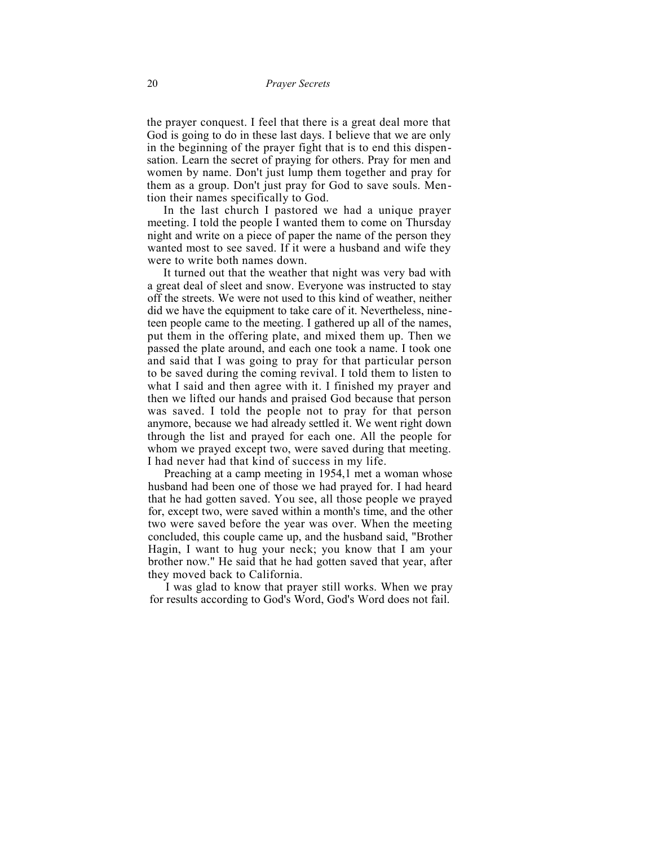the prayer conquest. I feel that there is a great deal more that God is going to do in these last days. I believe that we are only in the beginning of the prayer fight that is to end this dispensation. Learn the secret of praying for others. Pray for men and women by name. Don't just lump them together and pray for them as a group. Don't just pray for God to save souls. Mention their names specifically to God.

In the last church I pastored we had a unique prayer meeting. I told the people I wanted them to come on Thursday night and write on a piece of paper the name of the person they wanted most to see saved. If it were a husband and wife they were to write both names down.

It turned out that the weather that night was very bad with a great deal of sleet and snow. Everyone was instructed to stay off the streets. We were not used to this kind of weather, neither did we have the equipment to take care of it. Nevertheless, nineteen people came to the meeting. I gathered up all of the names, put them in the offering plate, and mixed them up. Then we passed the plate around, and each one took a name. I took one and said that I was going to pray for that particular person to be saved during the coming revival. I told them to listen to what I said and then agree with it. I finished my prayer and then we lifted our hands and praised God because that person was saved. I told the people not to pray for that person anymore, because we had already settled it. We went right down through the list and prayed for each one. All the people for whom we prayed except two, were saved during that meeting. I had never had that kind of success in my life.

Preaching at a camp meeting in 1954,1 met a woman whose husband had been one of those we had prayed for. I had heard that he had gotten saved. You see, all those people we prayed for, except two, were saved within a month's time, and the other two were saved before the year was over. When the meeting concluded, this couple came up, and the husband said, "Brother Hagin, I want to hug your neck; you know that I am your brother now." He said that he had gotten saved that year, after they moved back to California.

I was glad to know that prayer still works. When we pray for results according to God's Word, God's Word does not fail.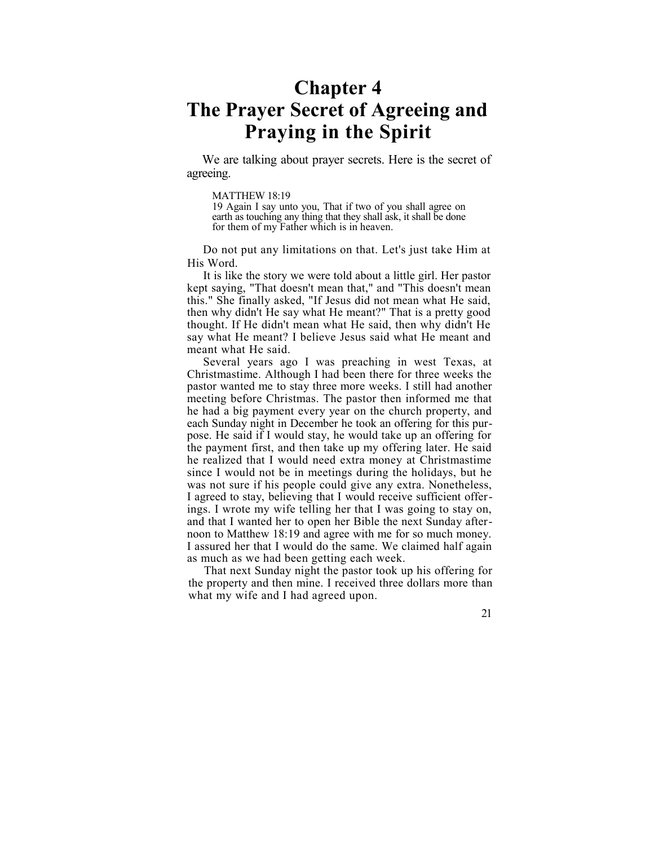## **Chapter 4 The Prayer Secret of Agreeing and Praying in the Spirit**

We are talking about prayer secrets. Here is the secret of agreeing.

#### MATTHEW 18:19

19 Again I say unto you, That if two of you shall agree on earth as touching any thing that they shall ask, it shall be done for them of my Father which is in heaven.

Do not put any limitations on that. Let's just take Him at His Word.

It is like the story we were told about a little girl. Her pastor kept saying, "That doesn't mean that," and "This doesn't mean this." She finally asked, "If Jesus did not mean what He said, then why didn't He say what He meant?" That is a pretty good thought. If He didn't mean what He said, then why didn't He say what He meant? I believe Jesus said what He meant and meant what He said.

Several years ago I was preaching in west Texas, at Christmastime. Although I had been there for three weeks the pastor wanted me to stay three more weeks. I still had another meeting before Christmas. The pastor then informed me that he had a big payment every year on the church property, and each Sunday night in December he took an offering for this purpose. He said if I would stay, he would take up an offering for the payment first, and then take up my offering later. He said he realized that I would need extra money at Christmastime since I would not be in meetings during the holidays, but he was not sure if his people could give any extra. Nonetheless, I agreed to stay, believing that I would receive sufficient offerings. I wrote my wife telling her that I was going to stay on, and that I wanted her to open her Bible the next Sunday afternoon to Matthew 18:19 and agree with me for so much money. I assured her that I would do the same. We claimed half again as much as we had been getting each week.

That next Sunday night the pastor took up his offering for the property and then mine. I received three dollars more than what my wife and I had agreed upon.

21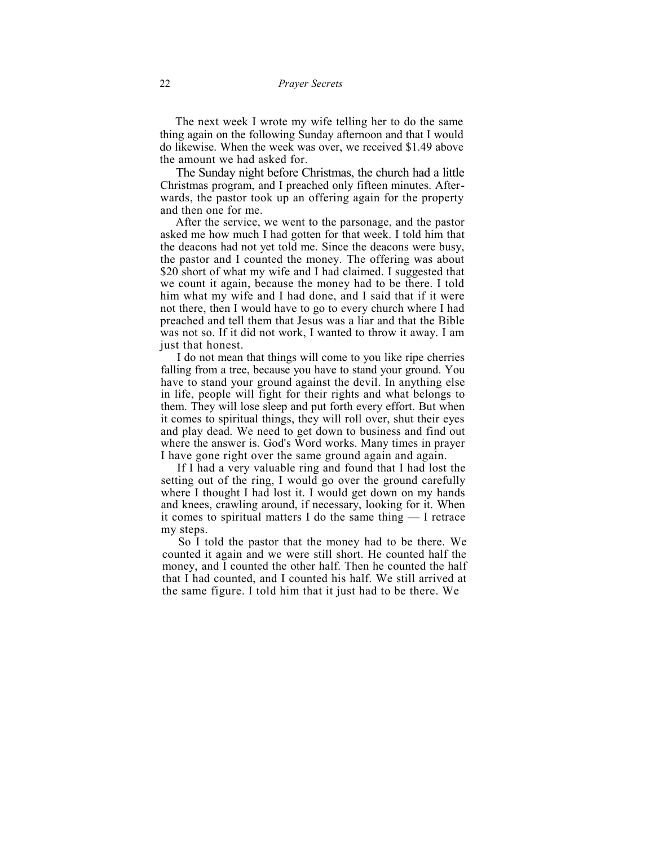The next week I wrote my wife telling her to do the same thing again on the following Sunday afternoon and that I would do likewise. When the week was over, we received \$1.49 above the amount we had asked for.

The Sunday night before Christmas, the church had a little Christmas program, and I preached only fifteen minutes. Afterwards, the pastor took up an offering again for the property and then one for me.

After the service, we went to the parsonage, and the pastor asked me how much I had gotten for that week. I told him that the deacons had not yet told me. Since the deacons were busy, the pastor and I counted the money. The offering was about \$20 short of what my wife and I had claimed. I suggested that we count it again, because the money had to be there. I told him what my wife and I had done, and I said that if it were not there, then I would have to go to every church where I had preached and tell them that Jesus was a liar and that the Bible was not so. If it did not work, I wanted to throw it away. I am just that honest.

I do not mean that things will come to you like ripe cherries falling from a tree, because you have to stand your ground. You have to stand your ground against the devil. In anything else in life, people will fight for their rights and what belongs to them. They will lose sleep and put forth every effort. But when it comes to spiritual things, they will roll over, shut their eyes and play dead. We need to get down to business and find out where the answer is. God's Word works. Many times in prayer I have gone right over the same ground again and again.

If I had a very valuable ring and found that I had lost the setting out of the ring, I would go over the ground carefully where I thought I had lost it. I would get down on my hands and knees, crawling around, if necessary, looking for it. When it comes to spiritual matters I do the same thing — I retrace my steps.

So I told the pastor that the money had to be there. We counted it again and we were still short. He counted half the money, and I counted the other half. Then he counted the half that I had counted, and I counted his half. We still arrived at the same figure. I told him that it just had to be there. We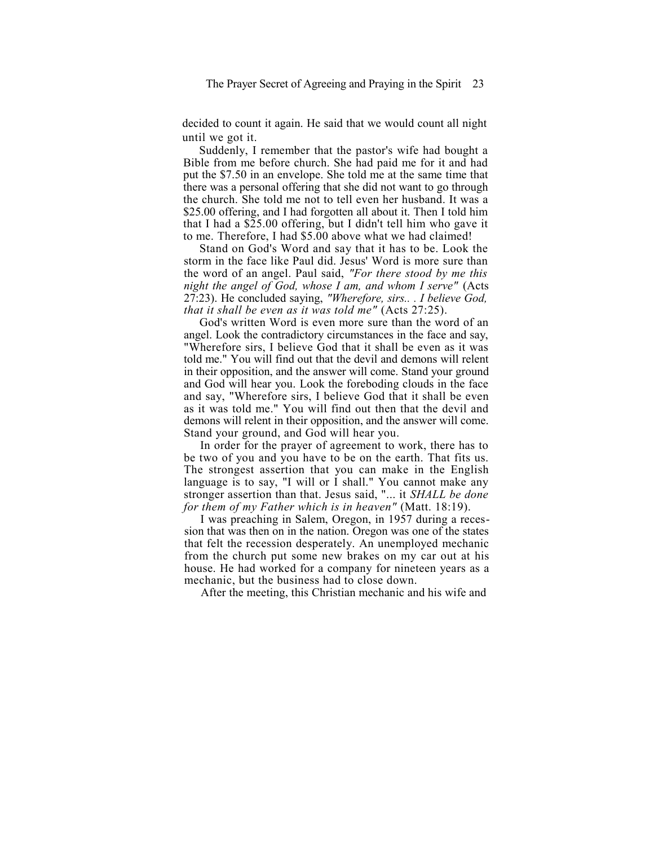decided to count it again. He said that we would count all night until we got it.

Suddenly, I remember that the pastor's wife had bought a Bible from me before church. She had paid me for it and had put the \$7.50 in an envelope. She told me at the same time that there was a personal offering that she did not want to go through the church. She told me not to tell even her husband. It was a \$25.00 offering, and I had forgotten all about it. Then I told him that I had a \$25.00 offering, but I didn't tell him who gave it to me. Therefore, I had \$5.00 above what we had claimed!

Stand on God's Word and say that it has to be. Look the storm in the face like Paul did. Jesus' Word is more sure than the word of an angel. Paul said, *"For there stood by me this night the angel of God, whose I am, and whom I serve"* (Acts 27:23). He concluded saying, *"Wherefore, sirs.. . I believe God, that it shall be even as it was told me"* (Acts 27:25).

God's written Word is even more sure than the word of an angel. Look the contradictory circumstances in the face and say, "Wherefore sirs, I believe God that it shall be even as it was told me." You will find out that the devil and demons will relent in their opposition, and the answer will come. Stand your ground and God will hear you. Look the foreboding clouds in the face and say, "Wherefore sirs, I believe God that it shall be even as it was told me." You will find out then that the devil and demons will relent in their opposition, and the answer will come. Stand your ground, and God will hear you.

In order for the prayer of agreement to work, there has to be two of you and you have to be on the earth. That fits us. The strongest assertion that you can make in the English language is to say, "I will or I shall." You cannot make any stronger assertion than that. Jesus said, "... it *SHALL be done for them of my Father which is in heaven"* (Matt. 18:19).

I was preaching in Salem, Oregon, in 1957 during a recession that was then on in the nation. Oregon was one of the states that felt the recession desperately. An unemployed mechanic from the church put some new brakes on my car out at his house. He had worked for a company for nineteen years as a mechanic, but the business had to close down.

After the meeting, this Christian mechanic and his wife and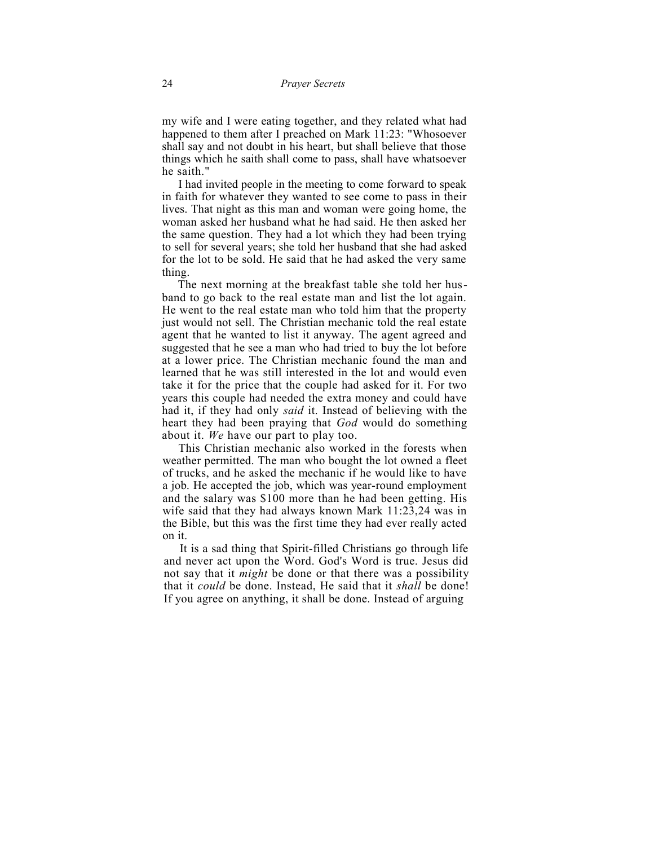my wife and I were eating together, and they related what had happened to them after I preached on Mark 11:23: "Whosoever shall say and not doubt in his heart, but shall believe that those things which he saith shall come to pass, shall have whatsoever he saith."

I had invited people in the meeting to come forward to speak in faith for whatever they wanted to see come to pass in their lives. That night as this man and woman were going home, the woman asked her husband what he had said. He then asked her the same question. They had a lot which they had been trying to sell for several years; she told her husband that she had asked for the lot to be sold. He said that he had asked the very same thing.

The next morning at the breakfast table she told her husband to go back to the real estate man and list the lot again. He went to the real estate man who told him that the property just would not sell. The Christian mechanic told the real estate agent that he wanted to list it anyway. The agent agreed and suggested that he see a man who had tried to buy the lot before at a lower price. The Christian mechanic found the man and learned that he was still interested in the lot and would even take it for the price that the couple had asked for it. For two years this couple had needed the extra money and could have had it, if they had only *said* it. Instead of believing with the heart they had been praying that *God* would do something about it. *We* have our part to play too.

This Christian mechanic also worked in the forests when weather permitted. The man who bought the lot owned a fleet of trucks, and he asked the mechanic if he would like to have a job. He accepted the job, which was year-round employment and the salary was \$100 more than he had been getting. His wife said that they had always known Mark 11:23,24 was in the Bible, but this was the first time they had ever really acted on it.

It is a sad thing that Spirit-filled Christians go through life and never act upon the Word. God's Word is true. Jesus did not say that it *might* be done or that there was a possibility that it *could* be done. Instead, He said that it *shall* be done! If you agree on anything, it shall be done. Instead of arguing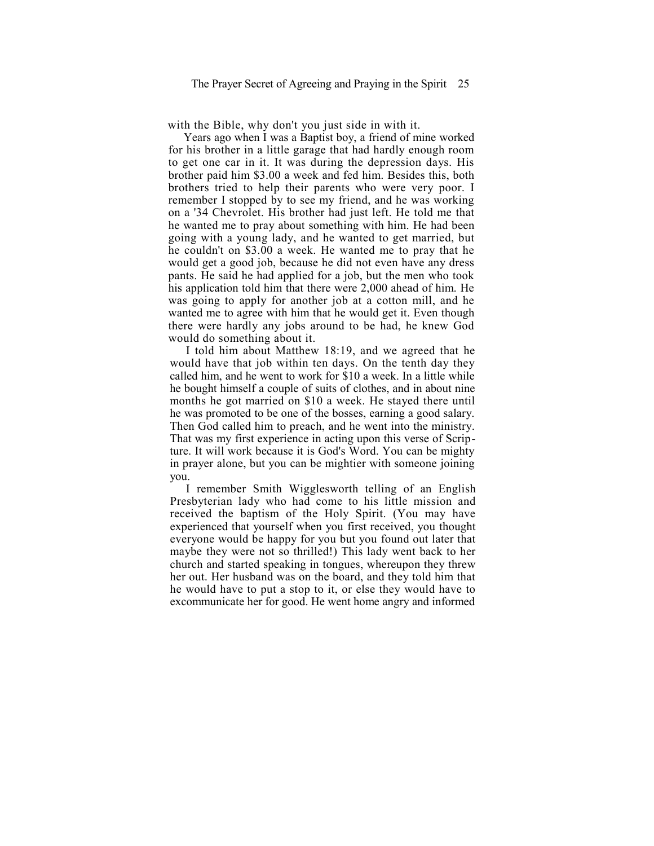with the Bible, why don't you just side in with it.

Years ago when I was a Baptist boy, a friend of mine worked for his brother in a little garage that had hardly enough room to get one car in it. It was during the depression days. His brother paid him \$3.00 a week and fed him. Besides this, both brothers tried to help their parents who were very poor. I remember I stopped by to see my friend, and he was working on a '34 Chevrolet. His brother had just left. He told me that he wanted me to pray about something with him. He had been going with a young lady, and he wanted to get married, but he couldn't on \$3.00 a week. He wanted me to pray that he would get a good job, because he did not even have any dress pants. He said he had applied for a job, but the men who took his application told him that there were 2,000 ahead of him. He was going to apply for another job at a cotton mill, and he wanted me to agree with him that he would get it. Even though there were hardly any jobs around to be had, he knew God would do something about it.

I told him about Matthew 18:19, and we agreed that he would have that job within ten days. On the tenth day they called him, and he went to work for \$10 a week. In a little while he bought himself a couple of suits of clothes, and in about nine months he got married on \$10 a week. He stayed there until he was promoted to be one of the bosses, earning a good salary. Then God called him to preach, and he went into the ministry. That was my first experience in acting upon this verse of Scripture. It will work because it is God's Word. You can be mighty in prayer alone, but you can be mightier with someone joining you.

I remember Smith Wigglesworth telling of an English Presbyterian lady who had come to his little mission and received the baptism of the Holy Spirit. (You may have experienced that yourself when you first received, you thought everyone would be happy for you but you found out later that maybe they were not so thrilled!) This lady went back to her church and started speaking in tongues, whereupon they threw her out. Her husband was on the board, and they told him that he would have to put a stop to it, or else they would have to excommunicate her for good. He went home angry and informed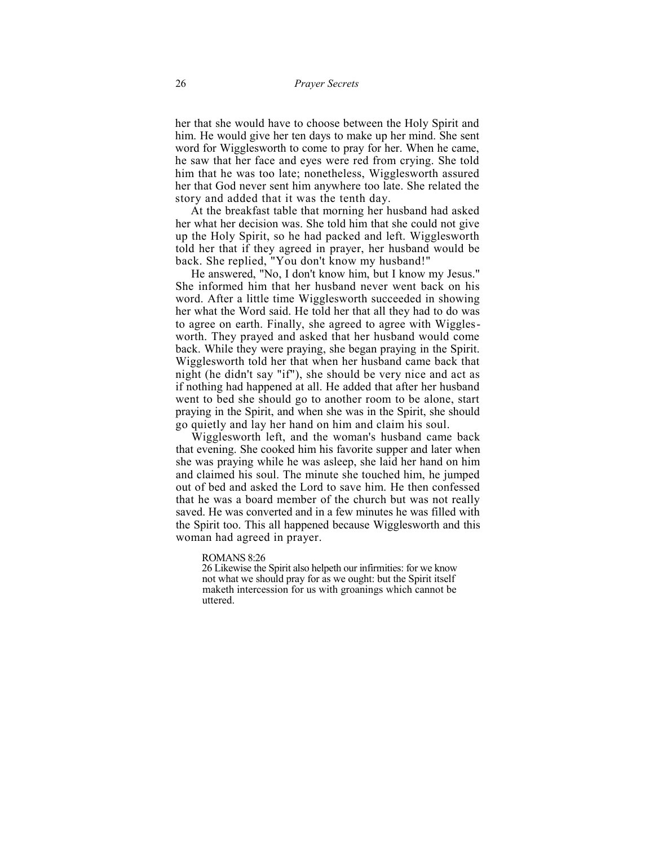her that she would have to choose between the Holy Spirit and him. He would give her ten days to make up her mind. She sent word for Wigglesworth to come to pray for her. When he came, he saw that her face and eyes were red from crying. She told him that he was too late; nonetheless, Wigglesworth assured her that God never sent him anywhere too late. She related the story and added that it was the tenth day.

At the breakfast table that morning her husband had asked her what her decision was. She told him that she could not give up the Holy Spirit, so he had packed and left. Wigglesworth told her that if they agreed in prayer, her husband would be back. She replied, "You don't know my husband!"

He answered, "No, I don't know him, but I know my Jesus." She informed him that her husband never went back on his word. After a little time Wigglesworth succeeded in showing her what the Word said. He told her that all they had to do was to agree on earth. Finally, she agreed to agree with Wigglesworth. They prayed and asked that her husband would come back. While they were praying, she began praying in the Spirit. Wigglesworth told her that when her husband came back that night (he didn't say "if"), she should be very nice and act as if nothing had happened at all. He added that after her husband went to bed she should go to another room to be alone, start praying in the Spirit, and when she was in the Spirit, she should go quietly and lay her hand on him and claim his soul.

Wigglesworth left, and the woman's husband came back that evening. She cooked him his favorite supper and later when she was praying while he was asleep, she laid her hand on him and claimed his soul. The minute she touched him, he jumped out of bed and asked the Lord to save him. He then confessed that he was a board member of the church but was not really saved. He was converted and in a few minutes he was filled with the Spirit too. This all happened because Wigglesworth and this woman had agreed in prayer.

ROMANS 8:26

26 Likewise the Spirit also helpeth our infirmities: for we know not what we should pray for as we ought: but the Spirit itself maketh intercession for us with groanings which cannot be uttered.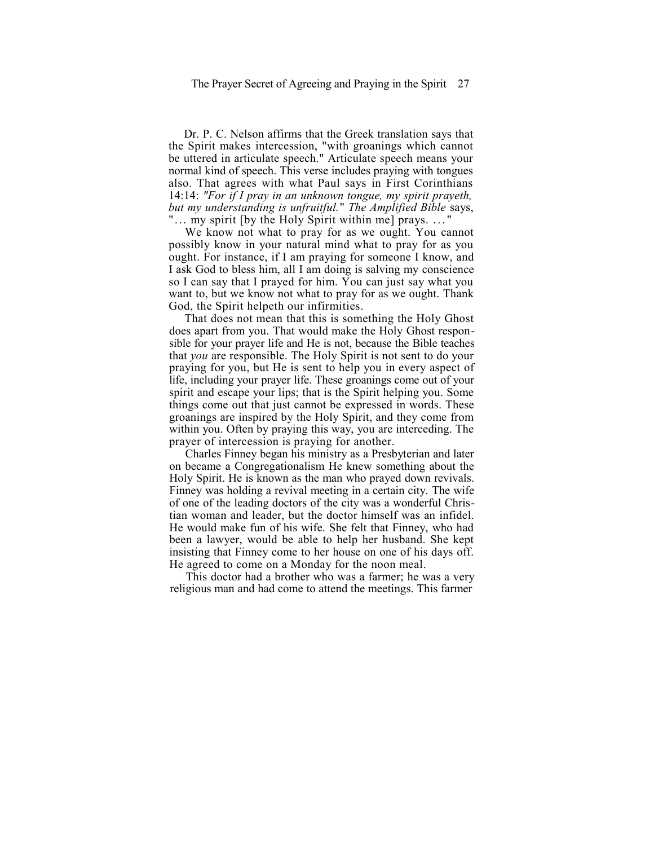Dr. P. C. Nelson affirms that the Greek translation says that the Spirit makes intercession, "with groanings which cannot be uttered in articulate speech." Articulate speech means your normal kind of speech. This verse includes praying with tongues also. That agrees with what Paul says in First Corinthians 14:14: *"For if I pray in an unknown tongue, my spirit prayeth, but my understanding is unfruitful.*" *The Amplified Bible* says, "... my spirit [by the Holy Spirit within me] prays. ..."

We know not what to pray for as we ought. You cannot possibly know in your natural mind what to pray for as you ought. For instance, if I am praying for someone I know, and I ask God to bless him, all I am doing is salving my conscience so I can say that I prayed for him. You can just say what you want to, but we know not what to pray for as we ought. Thank God, the Spirit helpeth our infirmities.

That does not mean that this is something the Holy Ghost does apart from you. That would make the Holy Ghost responsible for your prayer life and He is not, because the Bible teaches that *you* are responsible. The Holy Spirit is not sent to do your praying for you, but He is sent to help you in every aspect of life, including your prayer life. These groanings come out of your spirit and escape your lips; that is the Spirit helping you. Some things come out that just cannot be expressed in words. These groanings are inspired by the Holy Spirit, and they come from within you. Often by praying this way, you are interceding. The prayer of intercession is praying for another.

Charles Finney began his ministry as a Presbyterian and later on became a Congregationalism He knew something about the Holy Spirit. He is known as the man who prayed down revivals. Finney was holding a revival meeting in a certain city. The wife of one of the leading doctors of the city was a wonderful Christian woman and leader, but the doctor himself was an infidel. He would make fun of his wife. She felt that Finney, who had been a lawyer, would be able to help her husband. She kept insisting that Finney come to her house on one of his days off. He agreed to come on a Monday for the noon meal.

This doctor had a brother who was a farmer; he was a very religious man and had come to attend the meetings. This farmer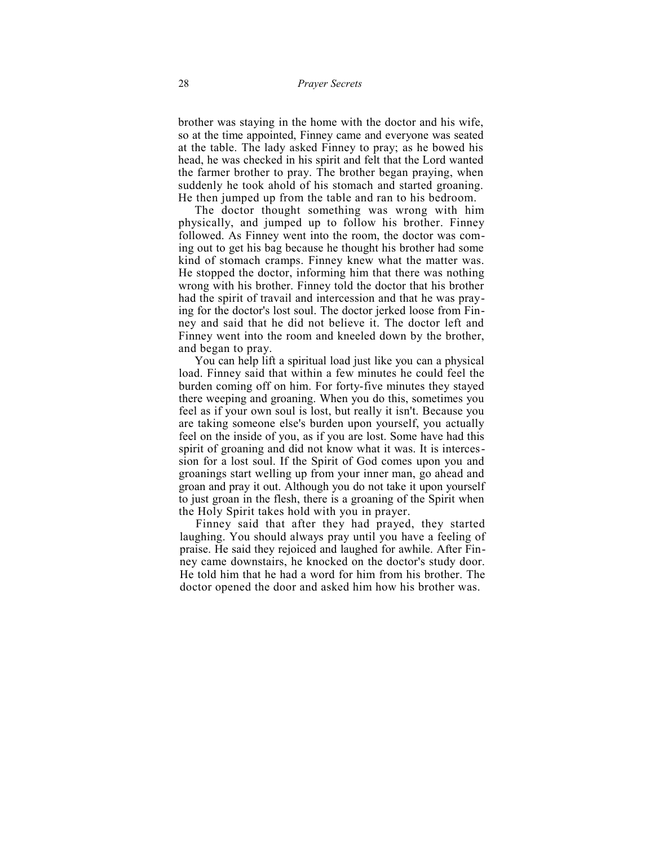brother was staying in the home with the doctor and his wife, so at the time appointed, Finney came and everyone was seated at the table. The lady asked Finney to pray; as he bowed his head, he was checked in his spirit and felt that the Lord wanted the farmer brother to pray. The brother began praying, when suddenly he took ahold of his stomach and started groaning. He then jumped up from the table and ran to his bedroom.

The doctor thought something was wrong with him physically, and jumped up to follow his brother. Finney followed. As Finney went into the room, the doctor was coming out to get his bag because he thought his brother had some kind of stomach cramps. Finney knew what the matter was. He stopped the doctor, informing him that there was nothing wrong with his brother. Finney told the doctor that his brother had the spirit of travail and intercession and that he was praying for the doctor's lost soul. The doctor jerked loose from Finney and said that he did not believe it. The doctor left and Finney went into the room and kneeled down by the brother, and began to pray.

You can help lift a spiritual load just like you can a physical load. Finney said that within a few minutes he could feel the burden coming off on him. For forty-five minutes they stayed there weeping and groaning. When you do this, sometimes you feel as if your own soul is lost, but really it isn't. Because you are taking someone else's burden upon yourself, you actually feel on the inside of you, as if you are lost. Some have had this spirit of groaning and did not know what it was. It is intercession for a lost soul. If the Spirit of God comes upon you and groanings start welling up from your inner man, go ahead and groan and pray it out. Although you do not take it upon yourself to just groan in the flesh, there is a groaning of the Spirit when the Holy Spirit takes hold with you in prayer.

Finney said that after they had prayed, they started laughing. You should always pray until you have a feeling of praise. He said they rejoiced and laughed for awhile. After Finney came downstairs, he knocked on the doctor's study door. He told him that he had a word for him from his brother. The doctor opened the door and asked him how his brother was.